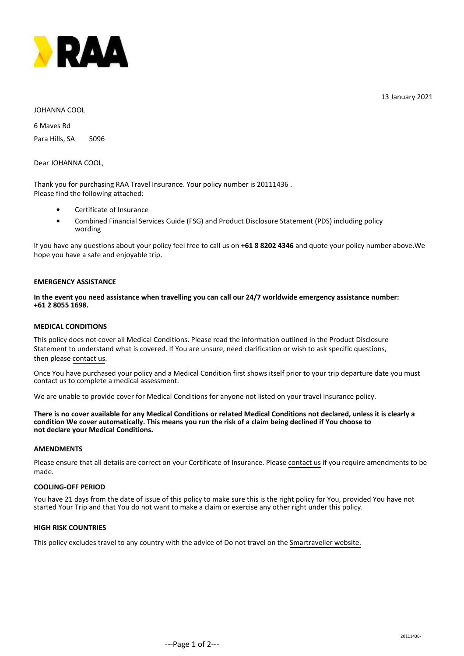

13 January 2021

## JOHANNA COOL

6 Maves Rd Para Hills, SA 5096

Dear JOHANNA COOL,

Thank you for purchasing RAA Travel Insurance. Your policy number is 20111436 . Please find the following attached:

- **•** Certificate of Insurance
- Combined Financial Services Guide (FSG) and Product Disclosure Statement (PDS) including policy wording **•**

If you have any questions about your policy feel free to call us on **+61 8 8202 4346** and quote your policy number above.We hope you have a safe and enjoyable trip.

## **EMERGENCY ASSISTANCE**

## **In the event you need assistance when travelling you can call our 24/7 worldwide emergency assistance number: +61 2 8055 1698.**

#### **MEDICAL CONDITIONS**

This policy does not cover all Medical Conditions. Please read the information outlined in the Product Disclosure Statement to understand what is covered. If You are unsure, need clarification or wish to ask specific questions, then please [contact us.](mailto:travel@raa.com.au)

Once You have purchased your policy and a Medical Condition first shows itself prior to your trip departure date you must contact us to complete a medical assessment.

We are unable to provide cover for Medical Conditions for anyone not listed on your travel insurance policy.

**There is no cover available for any Medical Conditions or related Medical Conditions not declared, unless it is clearly a condition We cover automatically. This means you run the risk of a claim being declined if You choose to not declare your Medical Conditions.**

## **AMENDMENTS**

Please ensure that all details are correct on your Certificate of Insurance. Please [contact us](mailto:travel@raa.com.au) if you require amendments to be made.

#### **COOLING-OFF PERIOD**

You have 21 days from the date of issue of this policy to make sure this is the right policy for You, provided You have not started Your Trip and that You do not want to make a claim or exercise any other right under this policy.

#### **HIGH RISK COUNTRIES**

This policy excludes travel to any country with the advice of Do not travel on the [Smartraveller website.](http://www.smartraveller.gov.au/)